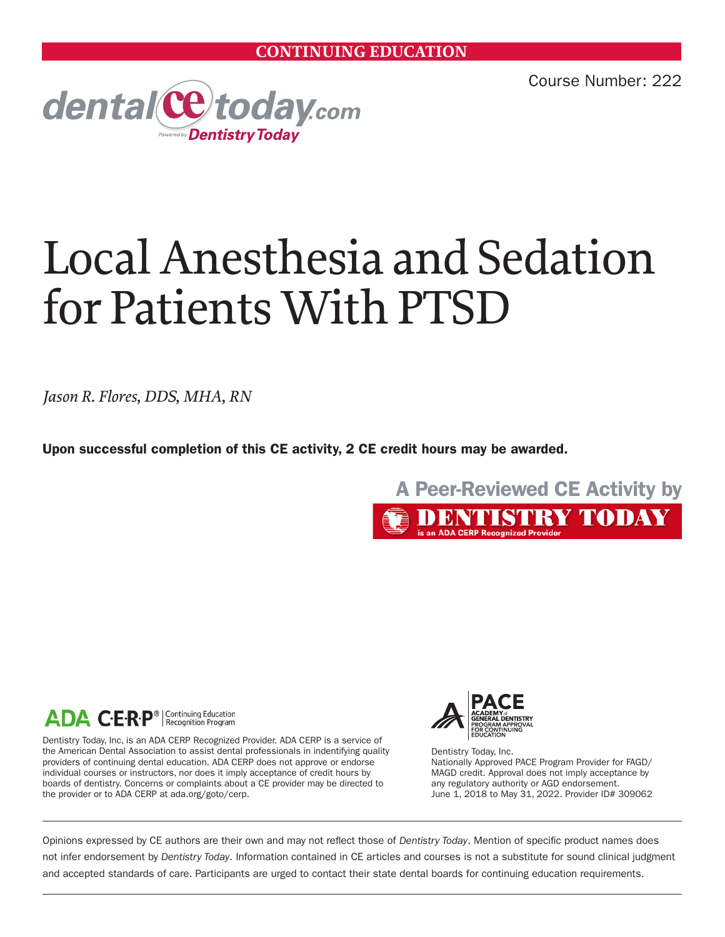Course Number: 222



# Local Anesthesia and Sedation for Patients With PTSD

*Jason R. Flores, DDS, MHA, RN*

Upon successful completion of this CE activity, 2 CE credit hours may be awarded.





Dentistry Today, Inc, is an ADA CERP Recognized Provider. ADA CERP is a service of the American Dental Association to assist dental professionals in indentifying quality providers of continuing dental education. ADA CERP does not approve or endorse individual courses or instructors, nor does it imply acceptance of credit hours by boards of dentistry. Concerns or complaints about a CE provider may be directed to the provider or to ADA CERP at ada.org/goto/cerp.



Dentistry Today, Inc. Nationally Approved PACE Program Provider for FAGD/ MAGD credit. Approval does not imply acceptance by any regulatory authority or AGD endorsement. June 1, 2018 to May 31, 2022. Provider ID# 309062

Opinions expressed by CE authors are their own and may not reflect those of *Dentistry Today*. Mention of specific product names does not infer endorsement by *Dentistry Today*. Information contained in CE articles and courses is not a substitute for sound clinical judgment and accepted standards of care. Participants are urged to contact their state dental boards for continuing education requirements.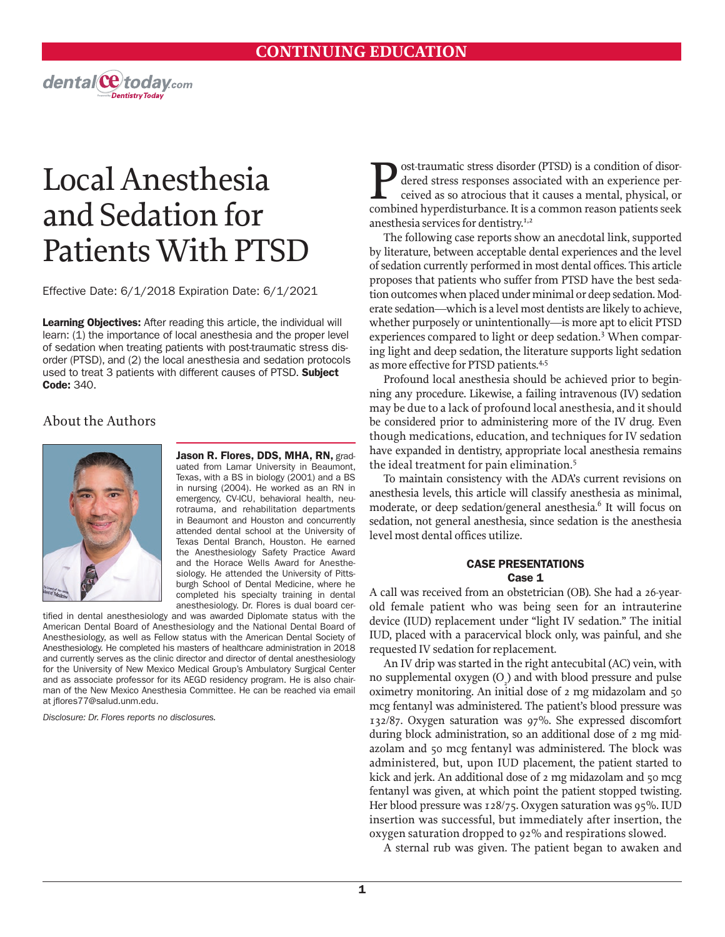

Effective Date: 6/1/2018 Expiration Date: 6/1/2021

Learning Objectives: After reading this article, the individual will learn: (1) the importance of local anesthesia and the proper level of sedation when treating patients with post-traumatic stress disorder (PTSD), and (2) the local anesthesia and sedation protocols used to treat 3 patients with different causes of PTSD. Subject Code: 340.

### About the Authors



Jason R. Flores, DDS, MHA, RN, graduated from Lamar University in Beaumont, Texas, with a BS in biology (2001) and a BS in nursing (2004). He worked as an RN in emergency, CV-ICU, behavioral health, neurotrauma, and rehabilitation departments in Beaumont and Houston and concurrently attended dental school at the University of Texas Dental Branch, Houston. He earned the Anesthesiology Safety Practice Award and the Horace Wells Award for Anesthesiology. He attended the University of Pittsburgh School of Dental Medicine, where he completed his specialty training in dental anesthesiology. Dr. Flores is dual board cer-

tified in dental anesthesiology and was awarded Diplomate status with the American Dental Board of Anesthesiology and the National Dental Board of Anesthesiology, as well as Fellow status with the American Dental Society of Anesthesiology. He completed his masters of healthcare administration in 2018 and currently serves as the clinic director and director of dental anesthesiology for the University of New Mexico Medical Group's Ambulatory Surgical Center and as associate professor for its AEGD residency program. He is also chairman of the New Mexico Anesthesia Committee. He can be reached via email at jflores77@salud.unm.edu.

*Disclosure: Dr. Flores reports no disclosures.* 

**Post-traumatic stress disorder (PTSD) is a condition of disor-**<br>dered stress responses associated with an experience per-<br>ceived as so atrocious that it causes a mental, physical, or<br>combined by perdisturbance. It is a co dered stress responses associated with an experience perceived as so atrocious that it causes a mental, physical, or combined hyperdisturbance. It is a common reason patients seek anesthesia services for dentistry. $I<sub>1,2</sub>$ 

The following case reports show an anecdotal link, supported by literature, between acceptable dental experiences and the level of sedation currently performed in most dental offices. This article proposes that patients who suffer from PTSD have the best sedation outcomes when placed under minimal or deep sedation. Moderate sedation—which is a level most dentists are likely to achieve, whether purposely or unintentionally—is more apt to elicit PTSD experiences compared to light or deep sedation.<sup>3</sup> When comparing light and deep sedation, the literature supports light sedation as more effective for PTSD patients.<sup>4,5</sup>

Profound local anesthesia should be achieved prior to beginning any procedure. Likewise, a failing intravenous (IV) sedation may be due to a lack of profound local anesthesia, and it should be considered prior to administering more of the IV drug. Even though medications, education, and techniques for IV sedation have expanded in dentistry, appropriate local anesthesia remains the ideal treatment for pain elimination.5

To maintain consistency with the ADA's current revisions on anesthesia levels, this article will classify anesthesia as minimal, moderate, or deep sedation/general anesthesia.<sup>6</sup> It will focus on sedation, not general anesthesia, since sedation is the anesthesia level most dental offices utilize.

#### CASE PRESENTATIONS Case 1

A call was received from an obstetrician (OB). She had a 26-yearold female patient who was being seen for an intrauterine device (IUD) replacement under "light IV sedation." The initial IUD, placed with a paracervical block only, was painful, and she requested IV sedation for replacement.

An IV drip was started in the right antecubital (AC) vein, with no supplemental oxygen  $(O_2)$  and with blood pressure and pulse oximetry monitoring. An initial dose of 2 mg midazolam and 50 mcg fentanyl was administered. The patient's blood pressure was 132/87. Oxygen saturation was 97%. She expressed discomfort during block administration, so an additional dose of 2 mg midazolam and 50 mcg fentanyl was administered. The block was administered, but, upon IUD placement, the patient started to kick and jerk. An additional dose of 2 mg midazolam and 50 mcg fentanyl was given, at which point the patient stopped twisting. Her blood pressure was 128/75. Oxygen saturation was 95%. IUD insertion was successful, but immediately after insertion, the oxygen saturation dropped to 92% and respirations slowed.

A sternal rub was given. The patient began to awaken and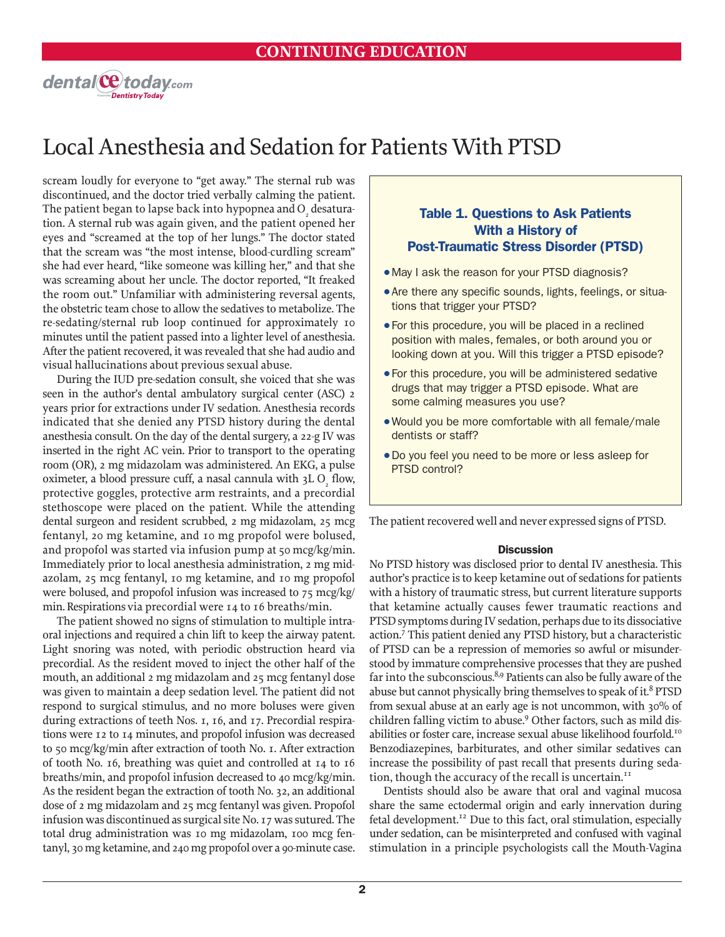

scream loudly for everyone to "get away." The sternal rub was discontinued, and the doctor tried verbally calming the patient. The patient began to lapse back into hypopnea and  $\mathrm{O}_\mathrm{_{2}}$  desaturation. A sternal rub was again given, and the patient opened her eyes and "screamed at the top of her lungs." The doctor stated that the scream was "the most intense, blood-curdling scream" she had ever heard, "like someone was killing her," and that she was screaming about her uncle. The doctor reported, "It freaked the room out." Unfamiliar with administering reversal agents, the obstetric team chose to allow the sedatives to metabolize. The re-sedating/sternal rub loop continued for approximately 10 minutes until the patient passed into a lighter level of anesthesia. After the patient recovered, it was revealed that she had audio and visual hallucinations about previous sexual abuse.

During the IUD pre-sedation consult, she voiced that she was seen in the author's dental ambulatory surgical center (ASC) 2 years prior for extractions under IV sedation. Anesthesia records indicated that she denied any PTSD history during the dental anesthesia consult. On the day of the dental surgery, a 22-g IV was inserted in the right AC vein. Prior to transport to the operating room (OR), 2 mg midazolam was administered. An EKG, a pulse oximeter, a blood pressure cuff, a nasal cannula with  $3L O<sub>2</sub>$  flow, protective goggles, protective arm restraints, and a precordial stethoscope were placed on the patient. While the attending dental surgeon and resident scrubbed, 2 mg midazolam, 25 mcg fentanyl, 20 mg ketamine, and 10 mg propofol were bolused, and propofol was started via infusion pump at 50 mcg/kg/min. Immediately prior to local anesthesia administration, 2 mg midazolam, 25 mcg fentanyl, 10 mg ketamine, and 10 mg propofol were bolused, and propofol infusion was increased to 75 mcg/kg/ min. Respirations via precordial were 14 to 16 breaths/min.

The patient showed no signs of stimulation to multiple intraoral injections and required a chin lift to keep the airway patent. Light snoring was noted, with periodic obstruction heard via precordial. As the resident moved to inject the other half of the mouth, an additional 2 mg midazolam and 25 mcg fentanyl dose was given to maintain a deep sedation level. The patient did not respond to surgical stimulus, and no more boluses were given during extractions of teeth Nos. 1, 16, and 17. Precordial respirations were 12 to 14 minutes, and propofol infusion was decreased to 50 mcg/kg/min after extraction of tooth No. 1. After extraction of tooth No. 16, breathing was quiet and controlled at 14 to 16 breaths/min, and propofol infusion decreased to 40 mcg/kg/min. As the resident began the extraction of tooth No. 32, an additional dose of 2 mg midazolam and 25 mcg fentanyl was given. Propofol infusion was discontinued as surgical site No. 17 was sutured. The total drug administration was 10 mg midazolam, 100 mcg fentanyl, 30 mg ketamine, and 240 mg propofol over a 90-minute case.

### Table 1. Questions to Ask Patients With a History of Post-Traumatic Stress Disorder (PTSD)

- May I ask the reason for your PTSD diagnosis?
- Are there any specific sounds, lights, feelings, or situations that trigger your PTSD?
- For this procedure, you will be placed in a reclined position with males, females, or both around you or looking down at you. Will this trigger a PTSD episode?
- For this procedure, you will be administered sedative drugs that may trigger a PTSD episode. What are some calming measures you use?
- . Would you be more comfortable with all female/male dentists or staff?
- $\bullet$  Do you feel you need to be more or less asleep for PTSD control?

The patient recovered well and never expressed signs of PTSD.

#### **Discussion**

No PTSD history was disclosed prior to dental IV anesthesia. This author's practice is to keep ketamine out of sedations for patients with a history of traumatic stress, but current literature supports that ketamine actually causes fewer traumatic reactions and PTSD symptoms during IV sedation, perhaps due to its dissociative action.<sup>7</sup> This patient denied any PTSD history, but a characteristic of PTSD can be a repression of memories so awful or misunderstood by immature comprehensive processes that they are pushed far into the subconscious.<sup>8,9</sup> Patients can also be fully aware of the abuse but cannot physically bring themselves to speak of it.<sup>8</sup> PTSD from sexual abuse at an early age is not uncommon, with 30% of children falling victim to abuse.<sup>9</sup> Other factors, such as mild disabilities or foster care, increase sexual abuse likelihood fourfold.<sup>10</sup> Benzodiazepines, barbiturates, and other similar sedatives can increase the possibility of past recall that presents during sedation, though the accuracy of the recall is uncertain.<sup>11</sup>

Dentists should also be aware that oral and vaginal mucosa share the same ectodermal origin and early innervation during fetal development.<sup>12</sup> Due to this fact, oral stimulation, especially under sedation, can be misinterpreted and confused with vaginal stimulation in a principle psychologists call the Mouth-Vagina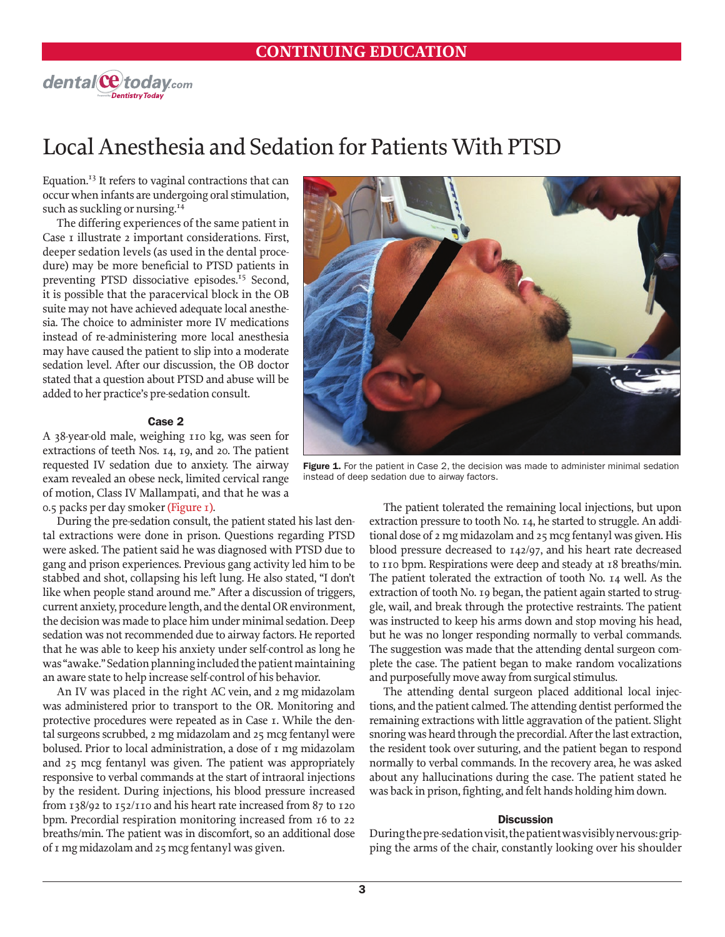

Equation.<sup>13</sup> It refers to vaginal contractions that can occur when infants are undergoing oral stimulation, such as suckling or nursing.<sup>14</sup>

The differing experiences of the same patient in Case 1 illustrate 2 important considerations. First, deeper sedation levels (as used in the dental procedure) may be more beneficial to PTSD patients in preventing PTSD dissociative episodes.<sup>15</sup> Second, it is possible that the paracervical block in the OB suite may not have achieved adequate local anesthesia. The choice to administer more IV medications instead of re-administering more local anesthesia may have caused the patient to slip into a moderate sedation level. After our discussion, the OB doctor stated that a question about PTSD and abuse will be added to her practice's pre-sedation consult.

#### Case 2

A 38-year-old male, weighing 110 kg, was seen for extractions of teeth Nos. 14, 19, and 20. The patient requested IV sedation due to anxiety. The airway exam revealed an obese neck, limited cervical range of motion, Class IV Mallampati, and that he was a 0.5 packs per day smoker (Figure 1).

During the pre-sedation consult, the patient stated his last dental extractions were done in prison. Questions regarding PTSD were asked. The patient said he was diagnosed with PTSD due to gang and prison experiences. Previous gang activity led him to be stabbed and shot, collapsing his left lung. He also stated, "I don't like when people stand around me." After a discussion of triggers, current anxiety, procedure length, and the dental OR environment, the decision was made to place him under minimal sedation. Deep sedation was not recommended due to airway factors. He reported that he was able to keep his anxiety under self-control as long he was "awake." Sedation planning included the patient maintaining an aware state to help increase self-control of his behavior.

An IV was placed in the right AC vein, and 2 mg midazolam was administered prior to transport to the OR. Monitoring and protective procedures were repeated as in Case 1. While the dental surgeons scrubbed, 2 mg midazolam and 25 mcg fentanyl were bolused. Prior to local administration, a dose of 1 mg midazolam and 25 mcg fentanyl was given. The patient was appropriately responsive to verbal commands at the start of intraoral injections by the resident. During injections, his blood pressure increased from 138/92 to 152/110 and his heart rate increased from 87 to 120 bpm. Precordial respiration monitoring increased from 16 to 22 breaths/min. The patient was in discomfort, so an additional dose of 1 mg midazolam and 25 mcg fentanyl was given.



Figure 1. For the patient in Case 2, the decision was made to administer minimal sedation instead of deep sedation due to airway factors.

The patient tolerated the remaining local injections, but upon extraction pressure to tooth No. 14, he started to struggle. An additional dose of 2 mg midazolam and 25 mcg fentanyl was given. His blood pressure decreased to 142/97, and his heart rate decreased to 110 bpm. Respirations were deep and steady at 18 breaths/min. The patient tolerated the extraction of tooth No. 14 well. As the extraction of tooth No. 19 began, the patient again started to struggle, wail, and break through the protective restraints. The patient was instructed to keep his arms down and stop moving his head, but he was no longer responding normally to verbal commands. The suggestion was made that the attending dental surgeon complete the case. The patient began to make random vocalizations and purposefully move away from surgical stimulus.

The attending dental surgeon placed additional local injections, and the patient calmed. The attending dentist performed the remaining extractions with little aggravation of the patient. Slight snoring was heard through the precordial. After the last extraction, the resident took over suturing, and the patient began to respond normally to verbal commands. In the recovery area, he was asked about any hallucinations during the case. The patient stated he was back in prison, fighting, and felt hands holding him down.

#### **Discussion**

During the pre-sedation visit, the patient was visibly nervous: gripping the arms of the chair, constantly looking over his shoulder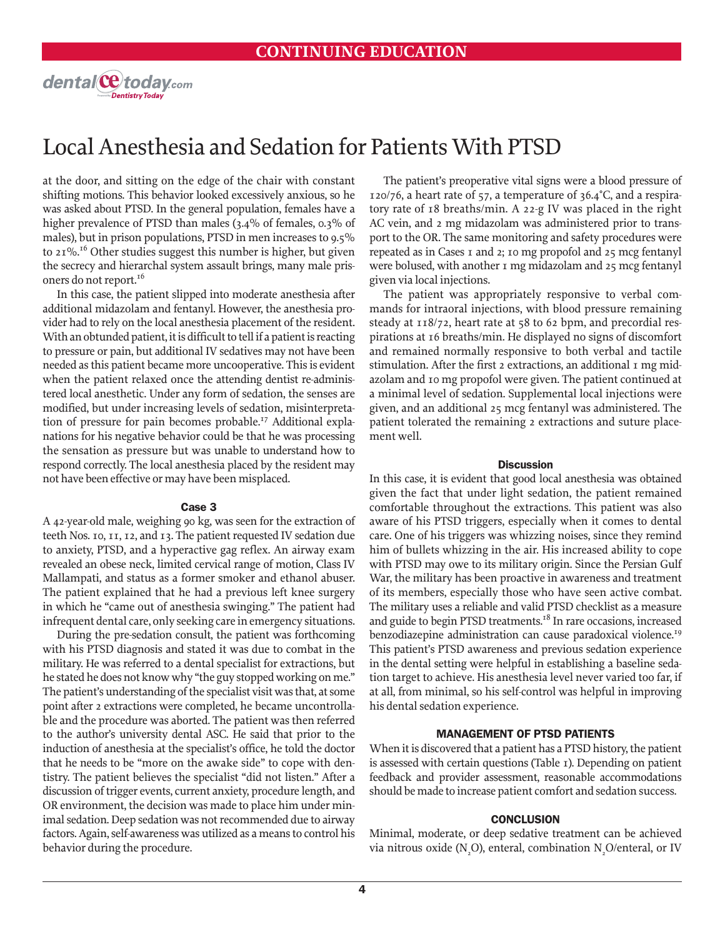

at the door, and sitting on the edge of the chair with constant shifting motions. This behavior looked excessively anxious, so he was asked about PTSD. In the general population, females have a higher prevalence of PTSD than males (3.4% of females, 0.3% of males), but in prison populations, PTSD in men increases to 9.5% to 21%.16 Other studies suggest this number is higher, but given the secrecy and hierarchal system assault brings, many male prisoners do not report.<sup>16</sup>

In this case, the patient slipped into moderate anesthesia after additional midazolam and fentanyl. However, the anesthesia provider had to rely on the local anesthesia placement of the resident. With an obtunded patient, it is difficult to tell if a patient is reacting to pressure or pain, but additional IV sedatives may not have been needed as this patient became more uncooperative. This is evident when the patient relaxed once the attending dentist re-administered local anesthetic. Under any form of sedation, the senses are modified, but under increasing levels of sedation, misinterpretation of pressure for pain becomes probable.<sup>17</sup> Additional explanations for his negative behavior could be that he was processing the sensation as pressure but was unable to understand how to respond correctly. The local anesthesia placed by the resident may not have been effective or may have been misplaced.

#### Case 3

A 42-year-old male, weighing 90 kg, was seen for the extraction of teeth Nos. 10, 11, 12, and 13. The patient requested IV sedation due to anxiety, PTSD, and a hyperactive gag reflex. An airway exam revealed an obese neck, limited cervical range of motion, Class IV Mallampati, and status as a former smoker and ethanol abuser. The patient explained that he had a previous left knee surgery in which he "came out of anesthesia swinging." The patient had infrequent dental care, only seeking care in emergency situations.

During the pre-sedation consult, the patient was forthcoming with his PTSD diagnosis and stated it was due to combat in the military. He was referred to a dental specialist for extractions, but he stated he does not know why "the guy stopped working on me." The patient's understanding of the specialist visit was that, at some point after 2 extractions were completed, he became uncontrollable and the procedure was aborted. The patient was then referred to the author's university dental ASC. He said that prior to the induction of anesthesia at the specialist's office, he told the doctor that he needs to be "more on the awake side" to cope with dentistry. The patient believes the specialist "did not listen." After a discussion of trigger events, current anxiety, procedure length, and OR environment, the decision was made to place him under minimal sedation. Deep sedation was not recommended due to airway factors. Again, self-awareness was utilized as a means to control his behavior during the procedure.

The patient's preoperative vital signs were a blood pressure of 120/76, a heart rate of 57, a temperature of 36.4°C, and a respiratory rate of 18 breaths/min. A 22-g IV was placed in the right AC vein, and 2 mg midazolam was administered prior to transport to the OR. The same monitoring and safety procedures were repeated as in Cases 1 and 2; 10 mg propofol and 25 mcg fentanyl were bolused, with another 1 mg midazolam and 25 mcg fentanyl given via local injections.

The patient was appropriately responsive to verbal commands for intraoral injections, with blood pressure remaining steady at 118/72, heart rate at 58 to 62 bpm, and precordial respirations at 16 breaths/min. He displayed no signs of discomfort and remained normally responsive to both verbal and tactile stimulation. After the first 2 extractions, an additional 1 mg midazolam and 10 mg propofol were given. The patient continued at a minimal level of sedation. Supplemental local injections were given, and an additional 25 mcg fentanyl was administered. The patient tolerated the remaining 2 extractions and suture placement well.

#### **Discussion**

In this case, it is evident that good local anesthesia was obtained given the fact that under light sedation, the patient remained comfortable throughout the extractions. This patient was also aware of his PTSD triggers, especially when it comes to dental care. One of his triggers was whizzing noises, since they remind him of bullets whizzing in the air. His increased ability to cope with PTSD may owe to its military origin. Since the Persian Gulf War, the military has been proactive in awareness and treatment of its members, especially those who have seen active combat. The military uses a reliable and valid PTSD checklist as a measure and guide to begin PTSD treatments.<sup>18</sup> In rare occasions, increased benzodiazepine administration can cause paradoxical violence.<sup>19</sup> This patient's PTSD awareness and previous sedation experience in the dental setting were helpful in establishing a baseline sedation target to achieve. His anesthesia level never varied too far, if at all, from minimal, so his self-control was helpful in improving his dental sedation experience.

#### MANAGEMENT OF PTSD PATIENTS

When it is discovered that a patient has a PTSD history, the patient is assessed with certain questions (Table 1). Depending on patient feedback and provider assessment, reasonable accommodations should be made to increase patient comfort and sedation success.

#### **CONCLUSION**

Minimal, moderate, or deep sedative treatment can be achieved via nitrous oxide (N<sub>2</sub>O), enteral, combination N<sub>2</sub>O/enteral, or IV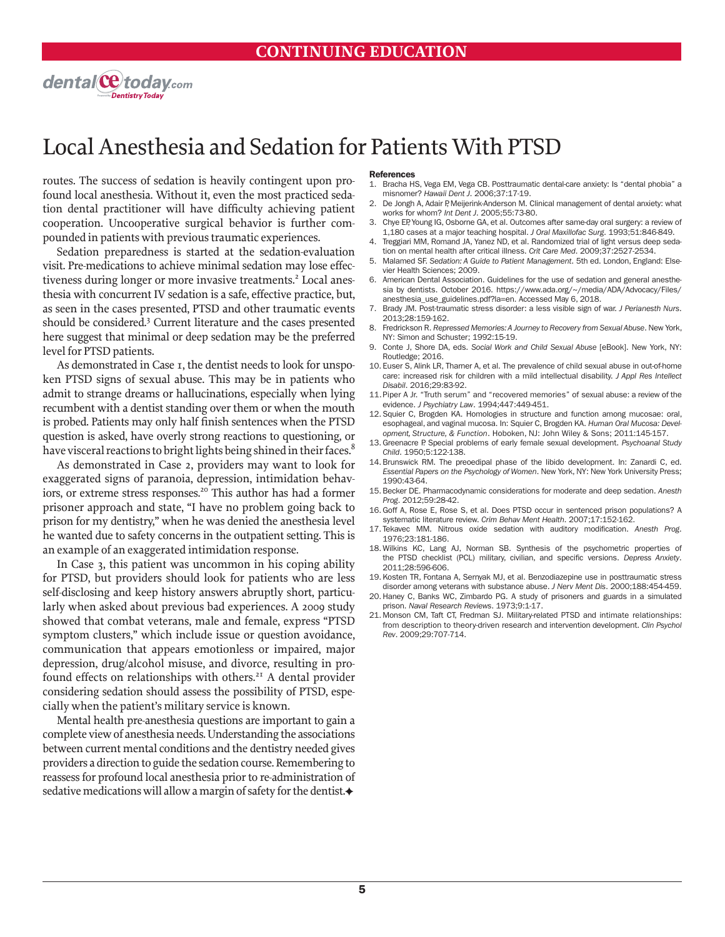

routes. The success of sedation is heavily contingent upon profound local anesthesia. Without it, even the most practiced sedation dental practitioner will have difficulty achieving patient cooperation. Uncooperative surgical behavior is further compounded in patients with previous traumatic experiences.

Sedation preparedness is started at the sedation-evaluation visit. Pre-medications to achieve minimal sedation may lose effectiveness during longer or more invasive treatments.<sup>2</sup> Local anesthesia with concurrent IV sedation is a safe, effective practice, but, as seen in the cases presented, PTSD and other traumatic events should be considered.<sup>3</sup> Current literature and the cases presented here suggest that minimal or deep sedation may be the preferred level for PTSD patients.

As demonstrated in Case 1, the dentist needs to look for unspoken PTSD signs of sexual abuse. This may be in patients who admit to strange dreams or hallucinations, especially when lying recumbent with a dentist standing over them or when the mouth is probed. Patients may only half finish sentences when the PTSD question is asked, have overly strong reactions to questioning, or have visceral reactions to bright lights being shined in their faces.<sup>8</sup>

As demonstrated in Case 2, providers may want to look for exaggerated signs of paranoia, depression, intimidation behaviors, or extreme stress responses.<sup>20</sup> This author has had a former prisoner approach and state, "I have no problem going back to prison for my dentistry," when he was denied the anesthesia level he wanted due to safety concerns in the outpatient setting. This is an example of an exaggerated intimidation response.

In Case 3, this patient was uncommon in his coping ability for PTSD, but providers should look for patients who are less self-disclosing and keep history answers abruptly short, particularly when asked about previous bad experiences. A 2009 study showed that combat veterans, male and female, express "PTSD symptom clusters," which include issue or question avoidance, communication that appears emotionless or impaired, major depression, drug/alcohol misuse, and divorce, resulting in profound effects on relationships with others.<sup>21</sup> A dental provider considering sedation should assess the possibility of PTSD, especially when the patient's military service is known.

Mental health pre-anesthesia questions are important to gain a complete view of anesthesia needs. Understanding the associations between current mental conditions and the dentistry needed gives providers a direction to guide the sedation course. Remembering to reassess for profound local anesthesia prior to re-administration of sedative medications will allow a margin of safety for the dentist.

#### **References**

- 1. Bracha HS, Vega EM, Vega CB. Posttraumatic dental-care anxiety: Is "dental phobia" a misnomer? *Hawaii Dent J*. 2006;37:17-19.
- 2. De Jongh A, Adair P, Meijerink-Anderson M. Clinical management of dental anxiety: what works for whom? *Int Dent J*. 2005;55:73-80.
- 3. Chye EP, Young IG, Osborne GA, et al. Outcomes after same-day oral surgery: a review of 1,180 cases at a major teaching hospital. *J Oral Maxillofac Surg*. 1993;51:846-849.
- 4. Treggiari MM, Romand JA, Yanez ND, et al. Randomized trial of light versus deep sedation on mental health after critical illness. *Crit Care Med*. 2009;37:2527-2534.
- 5. Malamed SF. *Sedation: A Guide to Patient Management*. 5th ed. London, England: Elsevier Health Sciences; 2009.
- 6. American Dental Association. Guidelines for the use of sedation and general anesthesia by dentists. October 2016. https://www.ada.org/~/media/ADA/Advocacy/Files/ anesthesia\_use\_guidelines.pdf?la=en. Accessed May 6, 2018.
- 7. Brady JM. Post-traumatic stress disorder: a less visible sign of war. *J Perianesth Nurs*. 2013;28:159-162.
- 8. Fredrickson R. *Repressed Memories: A Journey to Recovery from Sexual Abuse*. New York, NY: Simon and Schuster; 1992:15-19.
- 9. Conte J, Shore DA, eds. *Social Work and Child Sexual Abuse* [eBook]. New York, NY: Routledge; 2016.
- 10. Euser S, Alink LR, Tharner A, et al. The prevalence of child sexual abuse in out-of-home care: increased risk for children with a mild intellectual disability. *J Appl Res Intellect Disabil*. 2016;29:83-92.
- 11.Piper A Jr. "Truth serum" and "recovered memories" of sexual abuse: a review of the evidence. *J Psychiatry Law*. 1994;447:449-451.
- 12. Squier C, Brogden KA. Homologies in structure and function among mucosae: oral, esophageal, and vaginal mucosa. In: Squier C, Brogden KA. *Human Oral Mucosa: Development, Structure, & Function*. Hoboken, NJ: John Wiley & Sons; 2011:145-157.
- 13.Greenacre P. Special problems of early female sexual development. *Psychoanal Study Child*. 1950;5:122-138.
- 14. Brunswick RM. The preoedipal phase of the libido development. In: Zanardi C, ed. *Essential Papers on the Psychology of Women*. New York, NY: New York University Press; 1990:43-64.
- 15. Becker DE. Pharmacodynamic considerations for moderate and deep sedation. *Anesth Prog*. 2012;59:28-42.
- 16. Goff A, Rose E, Rose S, et al. Does PTSD occur in sentenced prison populations? A systematic literature review. *Crim Behav Ment Health*. 2007;17:152-162.
- 17. Tekavec MM. Nitrous oxide sedation with auditory modification. *Anesth Prog*. 1976;23:181-186.
- 18. Wilkins KC, Lang AJ, Norman SB. Synthesis of the psychometric properties of the PTSD checklist (PCL) military, civilian, and specific versions. *Depress Anxiety*. 2011;28:596-606.
- 19. Kosten TR, Fontana A, Sernyak MJ, et al. Benzodiazepine use in posttraumatic stress
- disorder among veterans with substance abuse. *J Nerv Ment Dis*. 2000;188:454-459. 20. Haney C, Banks WC, Zimbardo PG. A study of prisoners and guards in a simulated
- prison. *Naval Research Reviews*. 1973;9:1-17. 21. Monson CM, Taft CT, Fredman SJ. Military-related PTSD and intimate relationships: from description to theory-driven research and intervention development. *Clin Psychol Rev*. 2009;29:707-714.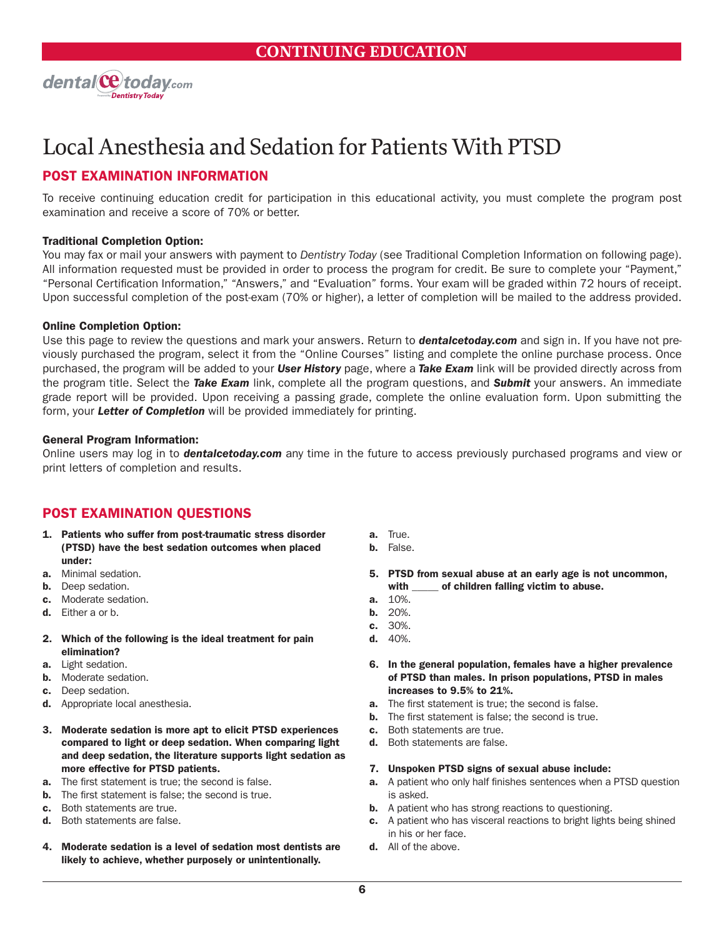

### POST EXAMINATION INFORMATION

To receive continuing education credit for participation in this educational activity, you must complete the program post examination and receive a score of 70% or better.

#### Traditional Completion Option:

You may fax or mail your answers with payment to *Dentistry Today* (see Traditional Completion Information on following page). All information requested must be provided in order to process the program for credit. Be sure to complete your "Payment," "Personal Certification Information," "Answers," and "Evaluation" forms. Your exam will be graded within 72 hours of receipt. Upon successful completion of the post-exam (70% or higher), a letter of completion will be mailed to the address provided.

#### Online Completion Option:

Use this page to review the questions and mark your answers. Return to *dentalcetoday.com* and sign in. If you have not previously purchased the program, select it from the "Online Courses" listing and complete the online purchase process. Once purchased, the program will be added to your *User History* page, where a *Take Exam* link will be provided directly across from the program title. Select the *Take Exam* link, complete all the program questions, and *Submit* your answers. An immediate grade report will be provided. Upon receiving a passing grade, complete the online evaluation form. Upon submitting the form, your *Letter of Completion* will be provided immediately for printing.

#### General Program Information:

Online users may log in to *dentalcetoday.com* any time in the future to access previously purchased programs and view or print letters of completion and results.

### POST EXAMINATION QUESTIONS

- 1. Patients who suffer from post-traumatic stress disorder (PTSD) have the best sedation outcomes when placed under:
- a. Minimal sedation.
- **b.** Deep sedation.
- c. Moderate sedation.
- d. Either a or b.
- 2. Which of the following is the ideal treatment for pain elimination?
- a. Light sedation.
- b. Moderate sedation.
- c. Deep sedation.
- d. Appropriate local anesthesia.
- 3. Moderate sedation is more apt to elicit PTSD experiences compared to light or deep sedation. When comparing light and deep sedation, the literature supports light sedation as more effective for PTSD patients.
- **a.** The first statement is true; the second is false.
- **b.** The first statement is false; the second is true.
- c. Both statements are true.
- d. Both statements are false.
- 4. Moderate sedation is a level of sedation most dentists are likely to achieve, whether purposely or unintentionally.
- a. True.
- b. False.
- 5. PTSD from sexual abuse at an early age is not uncommon, with \_\_\_\_\_ of children falling victim to abuse.
- a. 10%.
- b. 20%.
- c. 30%.
- d. 40%.
- 6. In the general population, females have a higher prevalence of PTSD than males. In prison populations, PTSD in males increases to 9.5% to 21%.
- a. The first statement is true; the second is false.
- **b.** The first statement is false; the second is true.
- c. Both statements are true.
- d. Both statements are false.
- 7. Unspoken PTSD signs of sexual abuse include:
- a. A patient who only half finishes sentences when a PTSD question is asked.
- **b.** A patient who has strong reactions to questioning.
- c. A patient who has visceral reactions to bright lights being shined in his or her face.
- d. All of the above.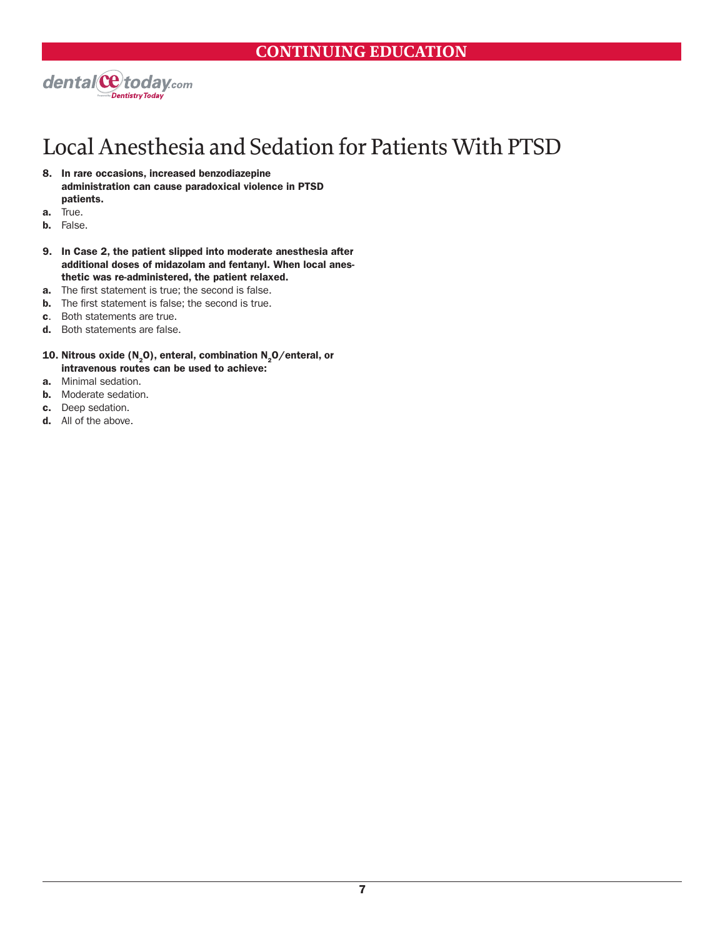

- 8. In rare occasions, increased benzodiazepine administration can cause paradoxical violence in PTSD patients.
- a. True.
- b. False.
- 9. In Case 2, the patient slipped into moderate anesthesia after additional doses of midazolam and fentanyl. When local anesthetic was re-administered, the patient relaxed.
- **a.** The first statement is true; the second is false.
- **b.** The first statement is false; the second is true.
- c. Both statements are true.
- d. Both statements are false.
- 10. Nitrous oxide (N<sub>2</sub>O), enteral, combination N<sub>2</sub>O/enteral, or intravenous routes can be used to achieve:
- a. Minimal sedation.
- **b.** Moderate sedation.
- c. Deep sedation.
- d. All of the above.